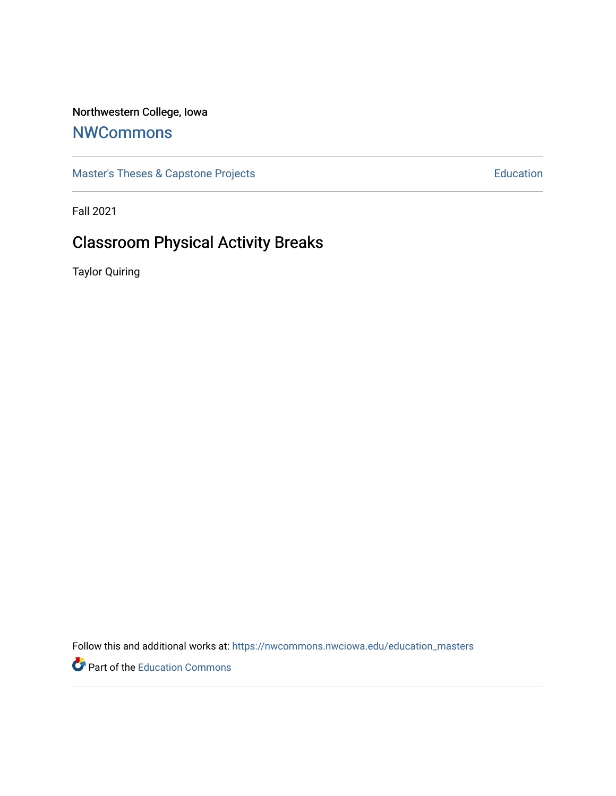# Northwestern College, Iowa

# **[NWCommons](https://nwcommons.nwciowa.edu/)**

[Master's Theses & Capstone Projects](https://nwcommons.nwciowa.edu/education_masters) **Education** Education

Fall 2021

# Classroom Physical Activity Breaks

Taylor Quiring

Follow this and additional works at: [https://nwcommons.nwciowa.edu/education\\_masters](https://nwcommons.nwciowa.edu/education_masters?utm_source=nwcommons.nwciowa.edu%2Feducation_masters%2F377&utm_medium=PDF&utm_campaign=PDFCoverPages)

Part of the [Education Commons](http://network.bepress.com/hgg/discipline/784?utm_source=nwcommons.nwciowa.edu%2Feducation_masters%2F377&utm_medium=PDF&utm_campaign=PDFCoverPages)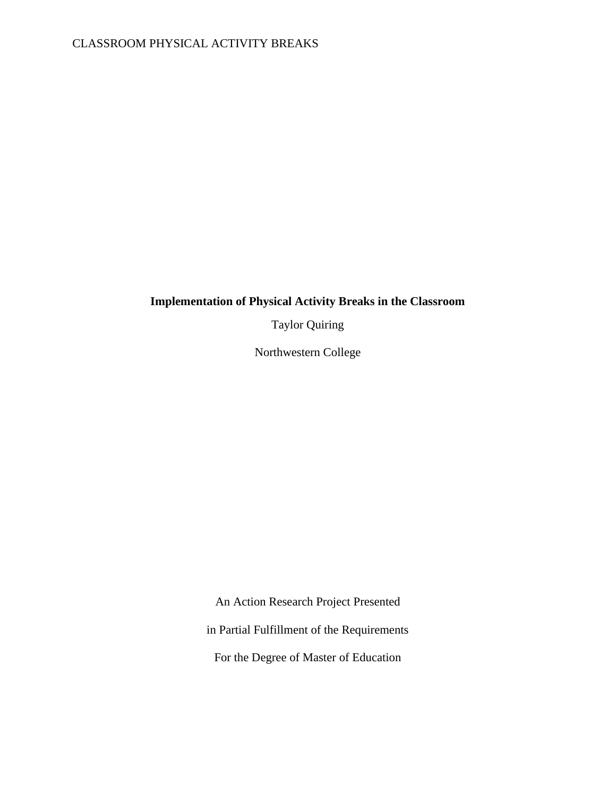# **Implementation of Physical Activity Breaks in the Classroom**

Taylor Quiring

Northwestern College

An Action Research Project Presented

in Partial Fulfillment of the Requirements

For the Degree of Master of Education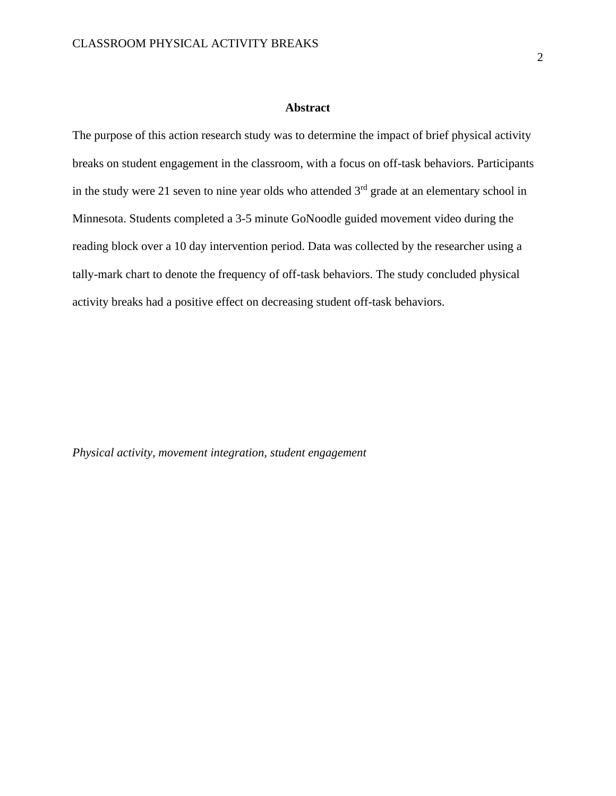## **Abstract**

<span id="page-2-0"></span>The purpose of this action research study was to determine the impact of brief physical activity breaks on student engagement in the classroom, with a focus on off-task behaviors. Participants in the study were 21 seven to nine year olds who attended  $3<sup>rd</sup>$  grade at an elementary school in Minnesota. Students completed a 3-5 minute GoNoodle guided movement video during the reading block over a 10 day intervention period. Data was collected by the researcher using a tally-mark chart to denote the frequency of off-task behaviors. The study concluded physical activity breaks had a positive effect on decreasing student off-task behaviors.

*Physical activity, movement integration, student engagement*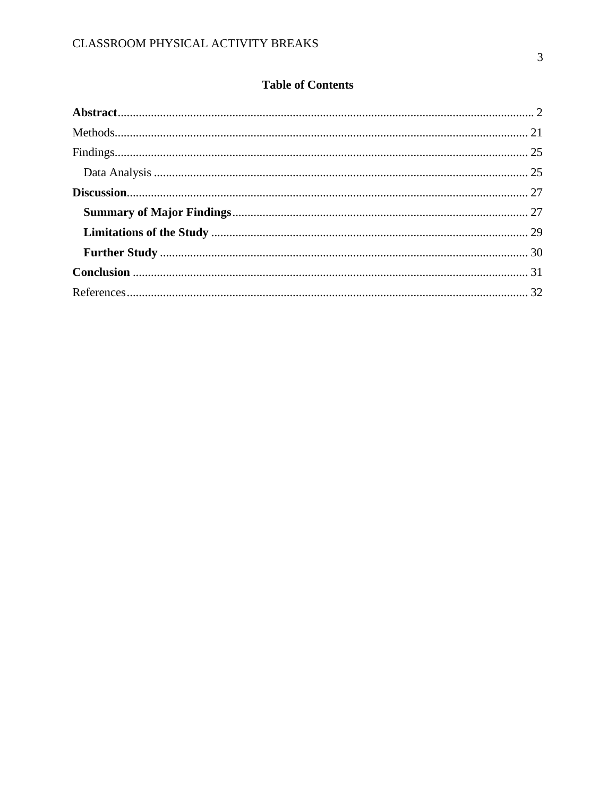# **Table of Contents**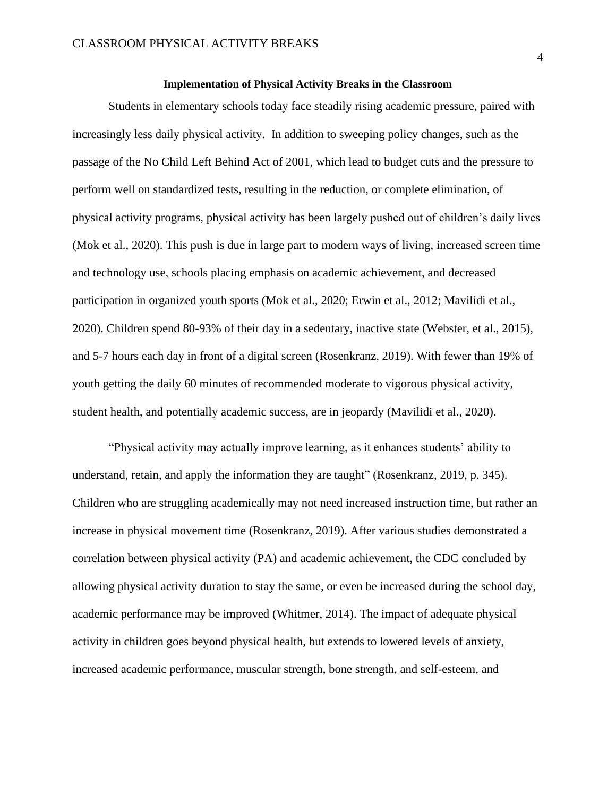# **Implementation of Physical Activity Breaks in the Classroom**

Students in elementary schools today face steadily rising academic pressure, paired with increasingly less daily physical activity. In addition to sweeping policy changes, such as the passage of the No Child Left Behind Act of 2001, which lead to budget cuts and the pressure to perform well on standardized tests, resulting in the reduction, or complete elimination, of physical activity programs, physical activity has been largely pushed out of children's daily lives (Mok et al., 2020). This push is due in large part to modern ways of living, increased screen time and technology use, schools placing emphasis on academic achievement, and decreased participation in organized youth sports (Mok et al., 2020; Erwin et al., 2012; Mavilidi et al., 2020). Children spend 80-93% of their day in a sedentary, inactive state (Webster, et al., 2015), and 5-7 hours each day in front of a digital screen (Rosenkranz, 2019). With fewer than 19% of youth getting the daily 60 minutes of recommended moderate to vigorous physical activity, student health, and potentially academic success, are in jeopardy (Mavilidi et al., 2020).

"Physical activity may actually improve learning, as it enhances students' ability to understand, retain, and apply the information they are taught" (Rosenkranz, 2019, p. 345). Children who are struggling academically may not need increased instruction time, but rather an increase in physical movement time (Rosenkranz, 2019). After various studies demonstrated a correlation between physical activity (PA) and academic achievement, the CDC concluded by allowing physical activity duration to stay the same, or even be increased during the school day, academic performance may be improved (Whitmer, 2014). The impact of adequate physical activity in children goes beyond physical health, but extends to lowered levels of anxiety, increased academic performance, muscular strength, bone strength, and self-esteem, and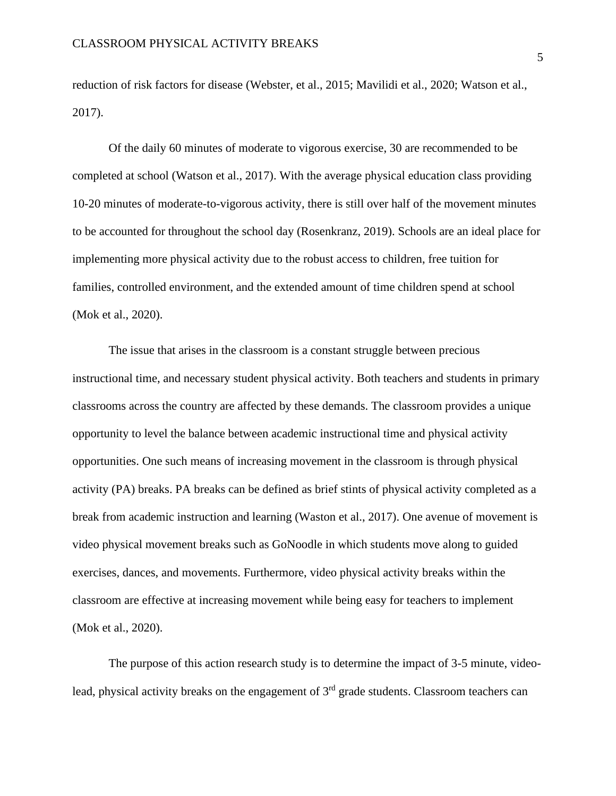reduction of risk factors for disease (Webster, et al., 2015; Mavilidi et al., 2020; Watson et al., 2017).

Of the daily 60 minutes of moderate to vigorous exercise, 30 are recommended to be completed at school (Watson et al., 2017). With the average physical education class providing 10-20 minutes of moderate-to-vigorous activity, there is still over half of the movement minutes to be accounted for throughout the school day (Rosenkranz, 2019). Schools are an ideal place for implementing more physical activity due to the robust access to children, free tuition for families, controlled environment, and the extended amount of time children spend at school (Mok et al., 2020).

The issue that arises in the classroom is a constant struggle between precious instructional time, and necessary student physical activity. Both teachers and students in primary classrooms across the country are affected by these demands. The classroom provides a unique opportunity to level the balance between academic instructional time and physical activity opportunities. One such means of increasing movement in the classroom is through physical activity (PA) breaks. PA breaks can be defined as brief stints of physical activity completed as a break from academic instruction and learning (Waston et al., 2017). One avenue of movement is video physical movement breaks such as GoNoodle in which students move along to guided exercises, dances, and movements. Furthermore, video physical activity breaks within the classroom are effective at increasing movement while being easy for teachers to implement (Mok et al., 2020).

The purpose of this action research study is to determine the impact of 3-5 minute, videolead, physical activity breaks on the engagement of  $3<sup>rd</sup>$  grade students. Classroom teachers can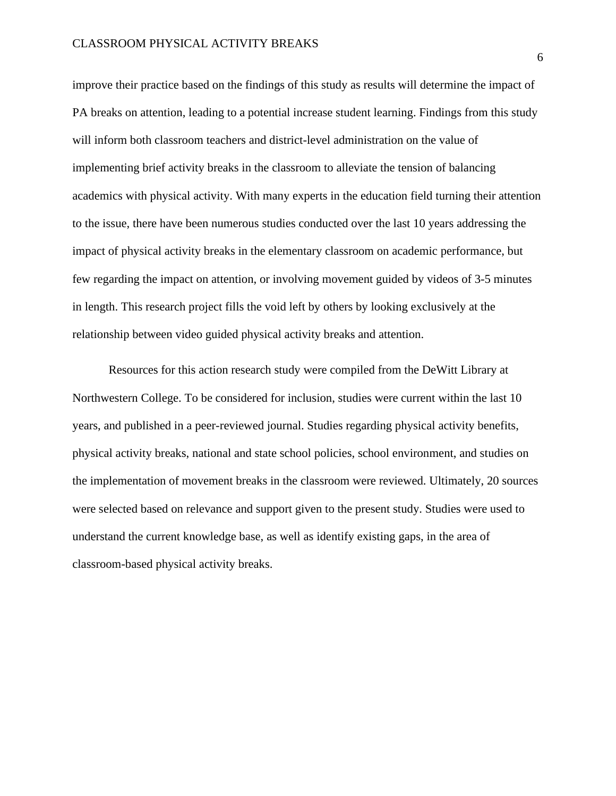improve their practice based on the findings of this study as results will determine the impact of PA breaks on attention, leading to a potential increase student learning. Findings from this study will inform both classroom teachers and district-level administration on the value of implementing brief activity breaks in the classroom to alleviate the tension of balancing academics with physical activity. With many experts in the education field turning their attention to the issue, there have been numerous studies conducted over the last 10 years addressing the impact of physical activity breaks in the elementary classroom on academic performance, but few regarding the impact on attention, or involving movement guided by videos of 3-5 minutes in length. This research project fills the void left by others by looking exclusively at the relationship between video guided physical activity breaks and attention.

Resources for this action research study were compiled from the DeWitt Library at Northwestern College. To be considered for inclusion, studies were current within the last 10 years, and published in a peer-reviewed journal. Studies regarding physical activity benefits, physical activity breaks, national and state school policies, school environment, and studies on the implementation of movement breaks in the classroom were reviewed. Ultimately, 20 sources were selected based on relevance and support given to the present study. Studies were used to understand the current knowledge base, as well as identify existing gaps, in the area of classroom-based physical activity breaks.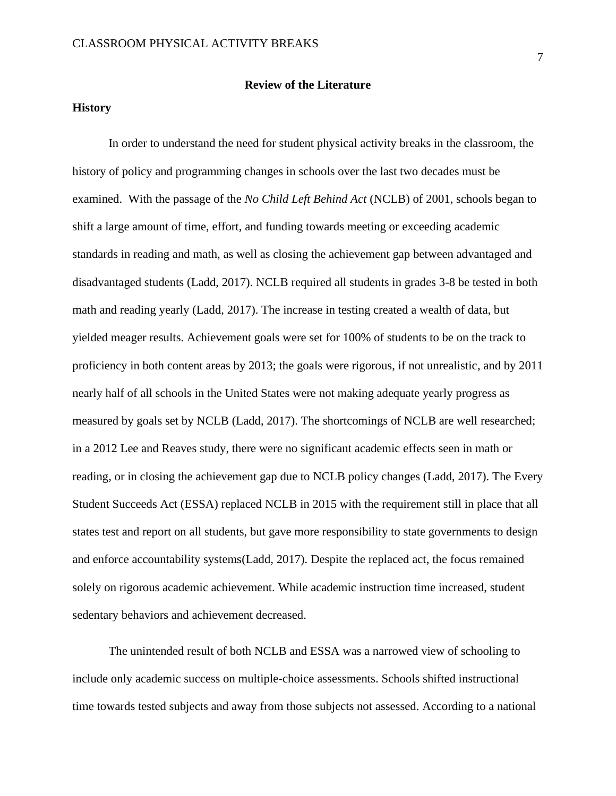# **History**

In order to understand the need for student physical activity breaks in the classroom, the history of policy and programming changes in schools over the last two decades must be examined. With the passage of the *No Child Left Behind Act* (NCLB) of 2001, schools began to shift a large amount of time, effort, and funding towards meeting or exceeding academic standards in reading and math, as well as closing the achievement gap between advantaged and disadvantaged students (Ladd, 2017). NCLB required all students in grades 3-8 be tested in both math and reading yearly (Ladd, 2017). The increase in testing created a wealth of data, but yielded meager results. Achievement goals were set for 100% of students to be on the track to proficiency in both content areas by 2013; the goals were rigorous, if not unrealistic, and by 2011 nearly half of all schools in the United States were not making adequate yearly progress as measured by goals set by NCLB (Ladd, 2017). The shortcomings of NCLB are well researched; in a 2012 Lee and Reaves study, there were no significant academic effects seen in math or reading, or in closing the achievement gap due to NCLB policy changes (Ladd, 2017). The Every Student Succeeds Act (ESSA) replaced NCLB in 2015 with the requirement still in place that all states test and report on all students, but gave more responsibility to state governments to design and enforce accountability systems(Ladd, 2017). Despite the replaced act, the focus remained solely on rigorous academic achievement. While academic instruction time increased, student sedentary behaviors and achievement decreased.

The unintended result of both NCLB and ESSA was a narrowed view of schooling to include only academic success on multiple-choice assessments. Schools shifted instructional time towards tested subjects and away from those subjects not assessed. According to a national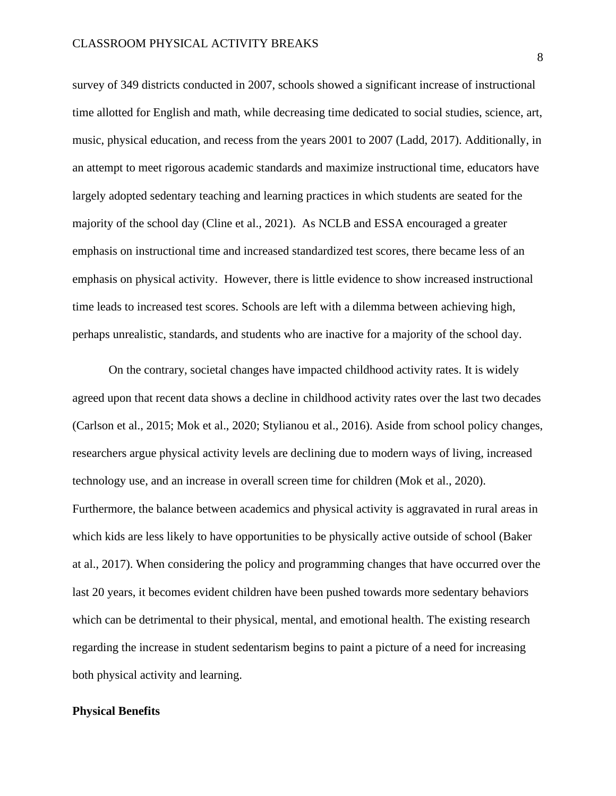survey of 349 districts conducted in 2007, schools showed a significant increase of instructional time allotted for English and math, while decreasing time dedicated to social studies, science, art, music, physical education, and recess from the years 2001 to 2007 (Ladd, 2017). Additionally, in an attempt to meet rigorous academic standards and maximize instructional time, educators have largely adopted sedentary teaching and learning practices in which students are seated for the majority of the school day (Cline et al., 2021). As NCLB and ESSA encouraged a greater emphasis on instructional time and increased standardized test scores, there became less of an emphasis on physical activity. However, there is little evidence to show increased instructional time leads to increased test scores. Schools are left with a dilemma between achieving high, perhaps unrealistic, standards, and students who are inactive for a majority of the school day.

On the contrary, societal changes have impacted childhood activity rates. It is widely agreed upon that recent data shows a decline in childhood activity rates over the last two decades (Carlson et al., 2015; Mok et al., 2020; Stylianou et al., 2016). Aside from school policy changes, researchers argue physical activity levels are declining due to modern ways of living, increased technology use, and an increase in overall screen time for children (Mok et al., 2020). Furthermore, the balance between academics and physical activity is aggravated in rural areas in which kids are less likely to have opportunities to be physically active outside of school (Baker at al., 2017). When considering the policy and programming changes that have occurred over the last 20 years, it becomes evident children have been pushed towards more sedentary behaviors which can be detrimental to their physical, mental, and emotional health. The existing research regarding the increase in student sedentarism begins to paint a picture of a need for increasing both physical activity and learning.

#### **Physical Benefits**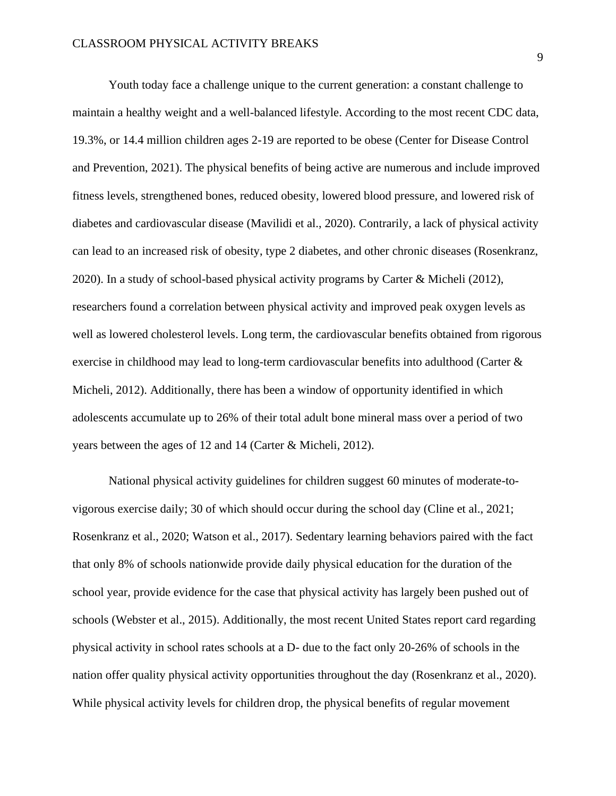Youth today face a challenge unique to the current generation: a constant challenge to maintain a healthy weight and a well-balanced lifestyle. According to the most recent CDC data, 19.3%, or 14.4 million children ages 2-19 are reported to be obese (Center for Disease Control and Prevention, 2021). The physical benefits of being active are numerous and include improved fitness levels, strengthened bones, reduced obesity, lowered blood pressure, and lowered risk of diabetes and cardiovascular disease (Mavilidi et al., 2020). Contrarily, a lack of physical activity can lead to an increased risk of obesity, type 2 diabetes, and other chronic diseases (Rosenkranz, 2020). In a study of school-based physical activity programs by Carter & Micheli (2012), researchers found a correlation between physical activity and improved peak oxygen levels as well as lowered cholesterol levels. Long term, the cardiovascular benefits obtained from rigorous exercise in childhood may lead to long-term cardiovascular benefits into adulthood (Carter & Micheli, 2012). Additionally, there has been a window of opportunity identified in which adolescents accumulate up to 26% of their total adult bone mineral mass over a period of two years between the ages of 12 and 14 (Carter & Micheli, 2012).

National physical activity guidelines for children suggest 60 minutes of moderate-tovigorous exercise daily; 30 of which should occur during the school day (Cline et al., 2021; Rosenkranz et al., 2020; Watson et al., 2017). Sedentary learning behaviors paired with the fact that only 8% of schools nationwide provide daily physical education for the duration of the school year, provide evidence for the case that physical activity has largely been pushed out of schools (Webster et al., 2015). Additionally, the most recent United States report card regarding physical activity in school rates schools at a D- due to the fact only 20-26% of schools in the nation offer quality physical activity opportunities throughout the day (Rosenkranz et al., 2020). While physical activity levels for children drop, the physical benefits of regular movement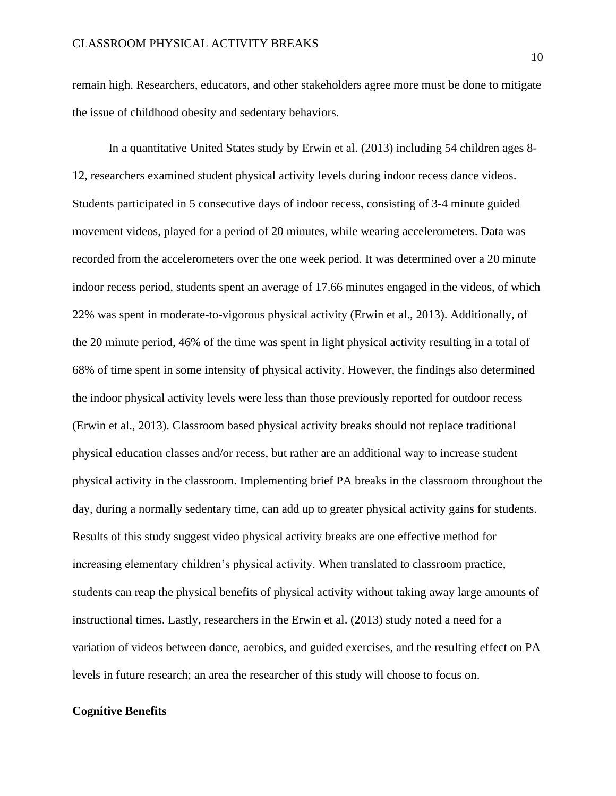remain high. Researchers, educators, and other stakeholders agree more must be done to mitigate the issue of childhood obesity and sedentary behaviors.

In a quantitative United States study by Erwin et al. (2013) including 54 children ages 8- 12, researchers examined student physical activity levels during indoor recess dance videos. Students participated in 5 consecutive days of indoor recess, consisting of 3-4 minute guided movement videos, played for a period of 20 minutes, while wearing accelerometers. Data was recorded from the accelerometers over the one week period. It was determined over a 20 minute indoor recess period, students spent an average of 17.66 minutes engaged in the videos, of which 22% was spent in moderate-to-vigorous physical activity (Erwin et al., 2013). Additionally, of the 20 minute period, 46% of the time was spent in light physical activity resulting in a total of 68% of time spent in some intensity of physical activity. However, the findings also determined the indoor physical activity levels were less than those previously reported for outdoor recess (Erwin et al., 2013). Classroom based physical activity breaks should not replace traditional physical education classes and/or recess, but rather are an additional way to increase student physical activity in the classroom. Implementing brief PA breaks in the classroom throughout the day, during a normally sedentary time, can add up to greater physical activity gains for students. Results of this study suggest video physical activity breaks are one effective method for increasing elementary children's physical activity. When translated to classroom practice, students can reap the physical benefits of physical activity without taking away large amounts of instructional times. Lastly, researchers in the Erwin et al. (2013) study noted a need for a variation of videos between dance, aerobics, and guided exercises, and the resulting effect on PA levels in future research; an area the researcher of this study will choose to focus on.

#### **Cognitive Benefits**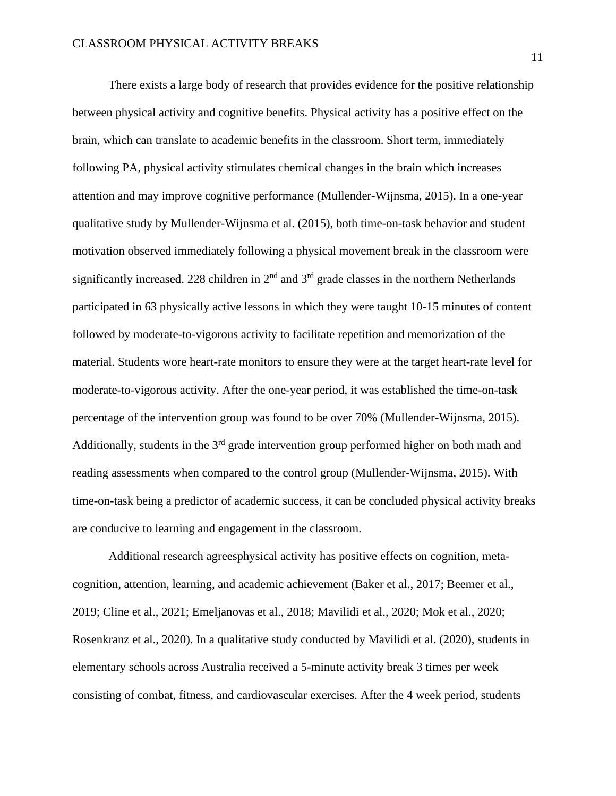There exists a large body of research that provides evidence for the positive relationship between physical activity and cognitive benefits. Physical activity has a positive effect on the brain, which can translate to academic benefits in the classroom. Short term, immediately following PA, physical activity stimulates chemical changes in the brain which increases attention and may improve cognitive performance (Mullender-Wijnsma, 2015). In a one-year qualitative study by Mullender-Wijnsma et al. (2015), both time-on-task behavior and student motivation observed immediately following a physical movement break in the classroom were significantly increased. 228 children in  $2<sup>nd</sup>$  and  $3<sup>rd</sup>$  grade classes in the northern Netherlands participated in 63 physically active lessons in which they were taught 10-15 minutes of content followed by moderate-to-vigorous activity to facilitate repetition and memorization of the material. Students wore heart-rate monitors to ensure they were at the target heart-rate level for moderate-to-vigorous activity. After the one-year period, it was established the time-on-task percentage of the intervention group was found to be over 70% (Mullender-Wijnsma, 2015). Additionally, students in the  $3<sup>rd</sup>$  grade intervention group performed higher on both math and reading assessments when compared to the control group (Mullender-Wijnsma, 2015). With time-on-task being a predictor of academic success, it can be concluded physical activity breaks are conducive to learning and engagement in the classroom.

Additional research agreesphysical activity has positive effects on cognition, metacognition, attention, learning, and academic achievement (Baker et al., 2017; Beemer et al., 2019; Cline et al., 2021; Emeljanovas et al., 2018; Mavilidi et al., 2020; Mok et al., 2020; Rosenkranz et al., 2020). In a qualitative study conducted by Mavilidi et al. (2020), students in elementary schools across Australia received a 5-minute activity break 3 times per week consisting of combat, fitness, and cardiovascular exercises. After the 4 week period, students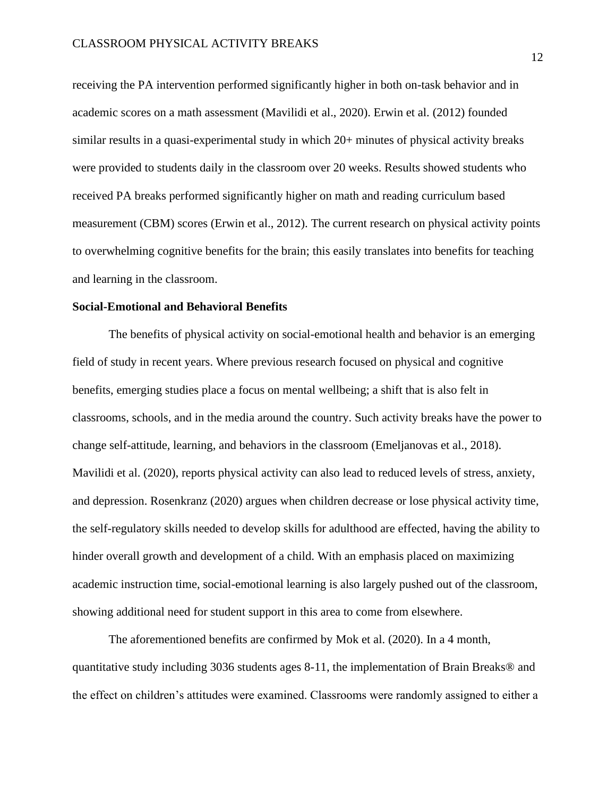receiving the PA intervention performed significantly higher in both on-task behavior and in academic scores on a math assessment (Mavilidi et al., 2020). Erwin et al. (2012) founded similar results in a quasi-experimental study in which 20+ minutes of physical activity breaks were provided to students daily in the classroom over 20 weeks. Results showed students who received PA breaks performed significantly higher on math and reading curriculum based measurement (CBM) scores (Erwin et al., 2012). The current research on physical activity points to overwhelming cognitive benefits for the brain; this easily translates into benefits for teaching and learning in the classroom.

# **Social-Emotional and Behavioral Benefits**

The benefits of physical activity on social-emotional health and behavior is an emerging field of study in recent years. Where previous research focused on physical and cognitive benefits, emerging studies place a focus on mental wellbeing; a shift that is also felt in classrooms, schools, and in the media around the country. Such activity breaks have the power to change self-attitude, learning, and behaviors in the classroom (Emeljanovas et al., 2018). Mavilidi et al. (2020), reports physical activity can also lead to reduced levels of stress, anxiety, and depression. Rosenkranz (2020) argues when children decrease or lose physical activity time, the self-regulatory skills needed to develop skills for adulthood are effected, having the ability to hinder overall growth and development of a child. With an emphasis placed on maximizing academic instruction time, social-emotional learning is also largely pushed out of the classroom, showing additional need for student support in this area to come from elsewhere.

The aforementioned benefits are confirmed by Mok et al. (2020). In a 4 month, quantitative study including 3036 students ages 8-11, the implementation of Brain Breaks® and the effect on children's attitudes were examined. Classrooms were randomly assigned to either a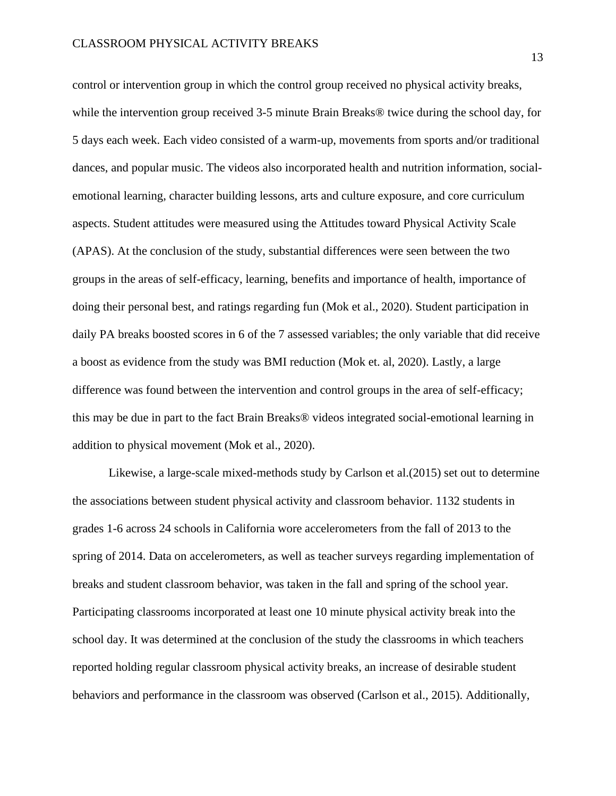control or intervention group in which the control group received no physical activity breaks, while the intervention group received 3-5 minute Brain Breaks® twice during the school day, for 5 days each week. Each video consisted of a warm-up, movements from sports and/or traditional dances, and popular music. The videos also incorporated health and nutrition information, socialemotional learning, character building lessons, arts and culture exposure, and core curriculum aspects. Student attitudes were measured using the Attitudes toward Physical Activity Scale (APAS). At the conclusion of the study, substantial differences were seen between the two groups in the areas of self-efficacy, learning, benefits and importance of health, importance of doing their personal best, and ratings regarding fun (Mok et al., 2020). Student participation in daily PA breaks boosted scores in 6 of the 7 assessed variables; the only variable that did receive a boost as evidence from the study was BMI reduction (Mok et. al, 2020). Lastly, a large difference was found between the intervention and control groups in the area of self-efficacy; this may be due in part to the fact Brain Breaks® videos integrated social-emotional learning in addition to physical movement (Mok et al., 2020).

Likewise, a large-scale mixed-methods study by Carlson et al.(2015) set out to determine the associations between student physical activity and classroom behavior. 1132 students in grades 1-6 across 24 schools in California wore accelerometers from the fall of 2013 to the spring of 2014. Data on accelerometers, as well as teacher surveys regarding implementation of breaks and student classroom behavior, was taken in the fall and spring of the school year. Participating classrooms incorporated at least one 10 minute physical activity break into the school day. It was determined at the conclusion of the study the classrooms in which teachers reported holding regular classroom physical activity breaks, an increase of desirable student behaviors and performance in the classroom was observed (Carlson et al., 2015). Additionally,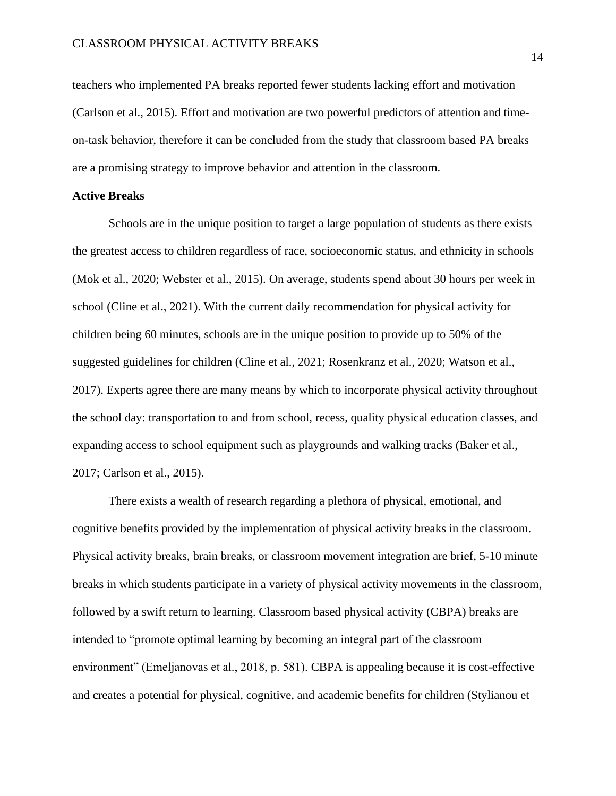teachers who implemented PA breaks reported fewer students lacking effort and motivation (Carlson et al., 2015). Effort and motivation are two powerful predictors of attention and timeon-task behavior, therefore it can be concluded from the study that classroom based PA breaks are a promising strategy to improve behavior and attention in the classroom.

#### **Active Breaks**

Schools are in the unique position to target a large population of students as there exists the greatest access to children regardless of race, socioeconomic status, and ethnicity in schools (Mok et al., 2020; Webster et al., 2015). On average, students spend about 30 hours per week in school (Cline et al., 2021). With the current daily recommendation for physical activity for children being 60 minutes, schools are in the unique position to provide up to 50% of the suggested guidelines for children (Cline et al., 2021; Rosenkranz et al., 2020; Watson et al., 2017). Experts agree there are many means by which to incorporate physical activity throughout the school day: transportation to and from school, recess, quality physical education classes, and expanding access to school equipment such as playgrounds and walking tracks (Baker et al., 2017; Carlson et al., 2015).

There exists a wealth of research regarding a plethora of physical, emotional, and cognitive benefits provided by the implementation of physical activity breaks in the classroom. Physical activity breaks, brain breaks, or classroom movement integration are brief, 5-10 minute breaks in which students participate in a variety of physical activity movements in the classroom, followed by a swift return to learning. Classroom based physical activity (CBPA) breaks are intended to "promote optimal learning by becoming an integral part of the classroom environment" (Emeljanovas et al., 2018, p. 581). CBPA is appealing because it is cost-effective and creates a potential for physical, cognitive, and academic benefits for children (Stylianou et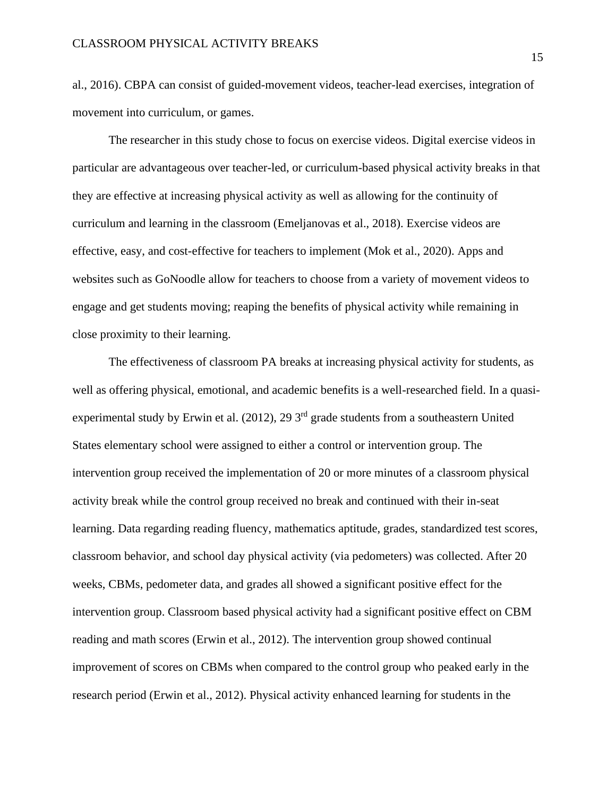al., 2016). CBPA can consist of guided-movement videos, teacher-lead exercises, integration of movement into curriculum, or games.

The researcher in this study chose to focus on exercise videos. Digital exercise videos in particular are advantageous over teacher-led, or curriculum-based physical activity breaks in that they are effective at increasing physical activity as well as allowing for the continuity of curriculum and learning in the classroom (Emeljanovas et al., 2018). Exercise videos are effective, easy, and cost-effective for teachers to implement (Mok et al., 2020). Apps and websites such as GoNoodle allow for teachers to choose from a variety of movement videos to engage and get students moving; reaping the benefits of physical activity while remaining in close proximity to their learning.

The effectiveness of classroom PA breaks at increasing physical activity for students, as well as offering physical, emotional, and academic benefits is a well-researched field. In a quasiexperimental study by Erwin et al.  $(2012)$ , 29 3<sup>rd</sup> grade students from a southeastern United States elementary school were assigned to either a control or intervention group. The intervention group received the implementation of 20 or more minutes of a classroom physical activity break while the control group received no break and continued with their in-seat learning. Data regarding reading fluency, mathematics aptitude, grades, standardized test scores, classroom behavior, and school day physical activity (via pedometers) was collected. After 20 weeks, CBMs, pedometer data, and grades all showed a significant positive effect for the intervention group. Classroom based physical activity had a significant positive effect on CBM reading and math scores (Erwin et al., 2012). The intervention group showed continual improvement of scores on CBMs when compared to the control group who peaked early in the research period (Erwin et al., 2012). Physical activity enhanced learning for students in the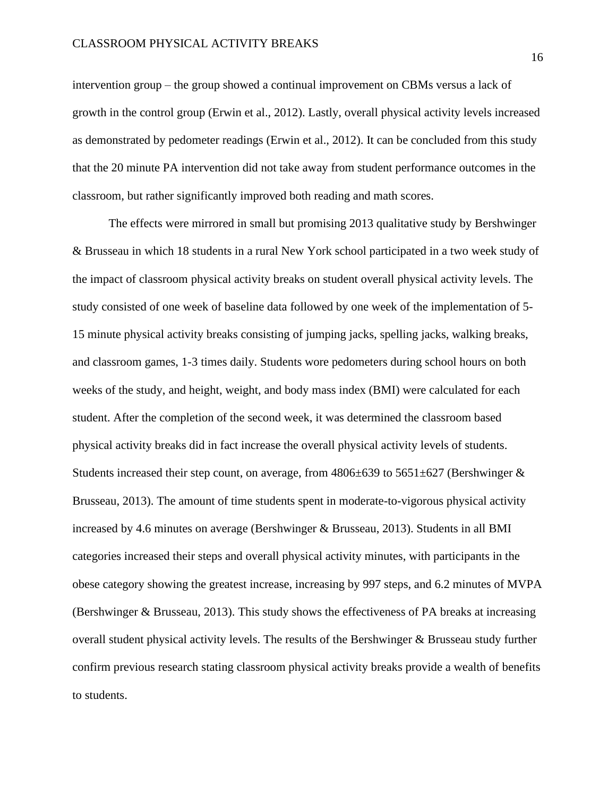intervention group – the group showed a continual improvement on CBMs versus a lack of growth in the control group (Erwin et al., 2012). Lastly, overall physical activity levels increased as demonstrated by pedometer readings (Erwin et al., 2012). It can be concluded from this study that the 20 minute PA intervention did not take away from student performance outcomes in the classroom, but rather significantly improved both reading and math scores.

The effects were mirrored in small but promising 2013 qualitative study by Bershwinger & Brusseau in which 18 students in a rural New York school participated in a two week study of the impact of classroom physical activity breaks on student overall physical activity levels. The study consisted of one week of baseline data followed by one week of the implementation of 5- 15 minute physical activity breaks consisting of jumping jacks, spelling jacks, walking breaks, and classroom games, 1-3 times daily. Students wore pedometers during school hours on both weeks of the study, and height, weight, and body mass index (BMI) were calculated for each student. After the completion of the second week, it was determined the classroom based physical activity breaks did in fact increase the overall physical activity levels of students. Students increased their step count, on average, from  $4806\pm639$  to  $5651\pm627$  (Bershwinger & Brusseau, 2013). The amount of time students spent in moderate-to-vigorous physical activity increased by 4.6 minutes on average (Bershwinger & Brusseau, 2013). Students in all BMI categories increased their steps and overall physical activity minutes, with participants in the obese category showing the greatest increase, increasing by 997 steps, and 6.2 minutes of MVPA (Bershwinger & Brusseau, 2013). This study shows the effectiveness of PA breaks at increasing overall student physical activity levels. The results of the Bershwinger & Brusseau study further confirm previous research stating classroom physical activity breaks provide a wealth of benefits to students.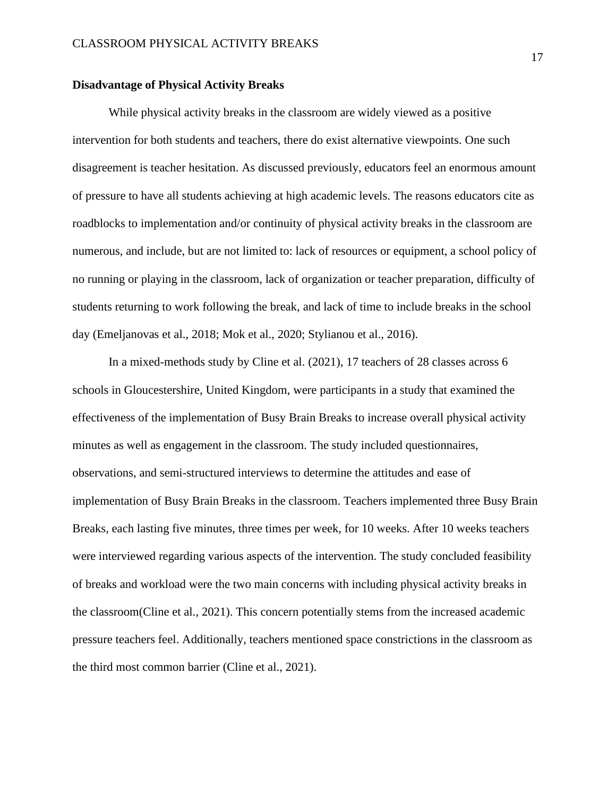#### **Disadvantage of Physical Activity Breaks**

While physical activity breaks in the classroom are widely viewed as a positive intervention for both students and teachers, there do exist alternative viewpoints. One such disagreement is teacher hesitation. As discussed previously, educators feel an enormous amount of pressure to have all students achieving at high academic levels. The reasons educators cite as roadblocks to implementation and/or continuity of physical activity breaks in the classroom are numerous, and include, but are not limited to: lack of resources or equipment, a school policy of no running or playing in the classroom, lack of organization or teacher preparation, difficulty of students returning to work following the break, and lack of time to include breaks in the school day (Emeljanovas et al., 2018; Mok et al., 2020; Stylianou et al., 2016).

In a mixed-methods study by Cline et al. (2021), 17 teachers of 28 classes across 6 schools in Gloucestershire, United Kingdom, were participants in a study that examined the effectiveness of the implementation of Busy Brain Breaks to increase overall physical activity minutes as well as engagement in the classroom. The study included questionnaires, observations, and semi-structured interviews to determine the attitudes and ease of implementation of Busy Brain Breaks in the classroom. Teachers implemented three Busy Brain Breaks, each lasting five minutes, three times per week, for 10 weeks. After 10 weeks teachers were interviewed regarding various aspects of the intervention. The study concluded feasibility of breaks and workload were the two main concerns with including physical activity breaks in the classroom(Cline et al., 2021). This concern potentially stems from the increased academic pressure teachers feel. Additionally, teachers mentioned space constrictions in the classroom as the third most common barrier (Cline et al., 2021).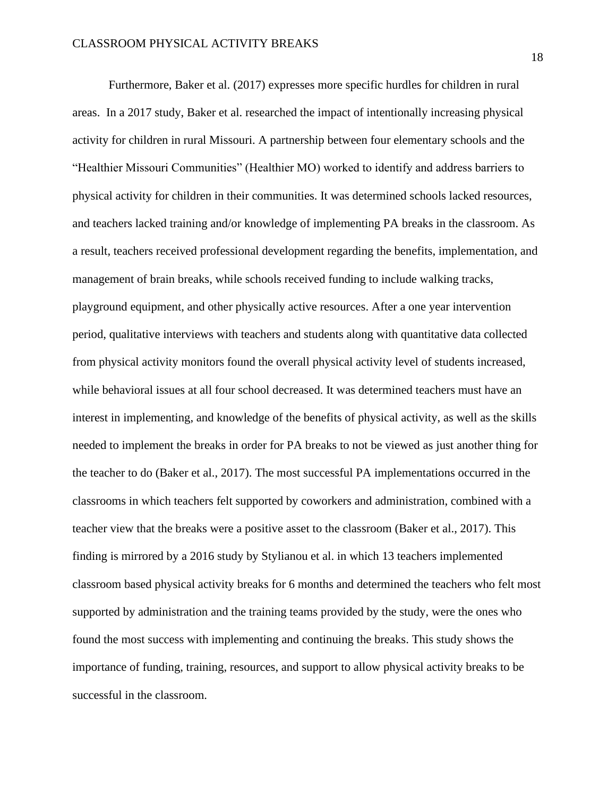Furthermore, Baker et al. (2017) expresses more specific hurdles for children in rural areas. In a 2017 study, Baker et al. researched the impact of intentionally increasing physical activity for children in rural Missouri. A partnership between four elementary schools and the "Healthier Missouri Communities" (Healthier MO) worked to identify and address barriers to physical activity for children in their communities. It was determined schools lacked resources, and teachers lacked training and/or knowledge of implementing PA breaks in the classroom. As a result, teachers received professional development regarding the benefits, implementation, and management of brain breaks, while schools received funding to include walking tracks, playground equipment, and other physically active resources. After a one year intervention period, qualitative interviews with teachers and students along with quantitative data collected from physical activity monitors found the overall physical activity level of students increased, while behavioral issues at all four school decreased. It was determined teachers must have an interest in implementing, and knowledge of the benefits of physical activity, as well as the skills needed to implement the breaks in order for PA breaks to not be viewed as just another thing for the teacher to do (Baker et al., 2017). The most successful PA implementations occurred in the classrooms in which teachers felt supported by coworkers and administration, combined with a teacher view that the breaks were a positive asset to the classroom (Baker et al., 2017). This finding is mirrored by a 2016 study by Stylianou et al. in which 13 teachers implemented classroom based physical activity breaks for 6 months and determined the teachers who felt most supported by administration and the training teams provided by the study, were the ones who found the most success with implementing and continuing the breaks. This study shows the importance of funding, training, resources, and support to allow physical activity breaks to be successful in the classroom.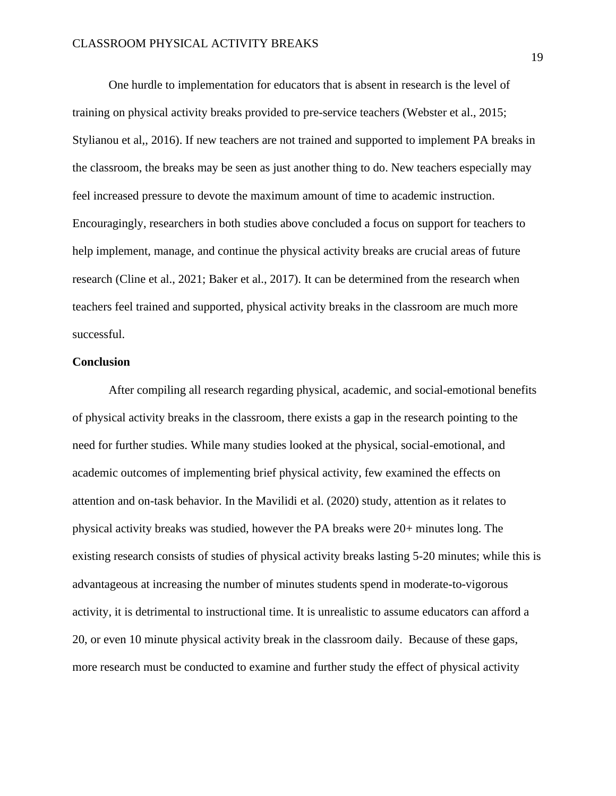One hurdle to implementation for educators that is absent in research is the level of training on physical activity breaks provided to pre-service teachers (Webster et al., 2015; Stylianou et al,, 2016). If new teachers are not trained and supported to implement PA breaks in the classroom, the breaks may be seen as just another thing to do. New teachers especially may feel increased pressure to devote the maximum amount of time to academic instruction. Encouragingly, researchers in both studies above concluded a focus on support for teachers to help implement, manage, and continue the physical activity breaks are crucial areas of future research (Cline et al., 2021; Baker et al., 2017). It can be determined from the research when teachers feel trained and supported, physical activity breaks in the classroom are much more successful.

# **Conclusion**

After compiling all research regarding physical, academic, and social-emotional benefits of physical activity breaks in the classroom, there exists a gap in the research pointing to the need for further studies. While many studies looked at the physical, social-emotional, and academic outcomes of implementing brief physical activity, few examined the effects on attention and on-task behavior. In the Mavilidi et al. (2020) study, attention as it relates to physical activity breaks was studied, however the PA breaks were 20+ minutes long. The existing research consists of studies of physical activity breaks lasting 5-20 minutes; while this is advantageous at increasing the number of minutes students spend in moderate-to-vigorous activity, it is detrimental to instructional time. It is unrealistic to assume educators can afford a 20, or even 10 minute physical activity break in the classroom daily. Because of these gaps, more research must be conducted to examine and further study the effect of physical activity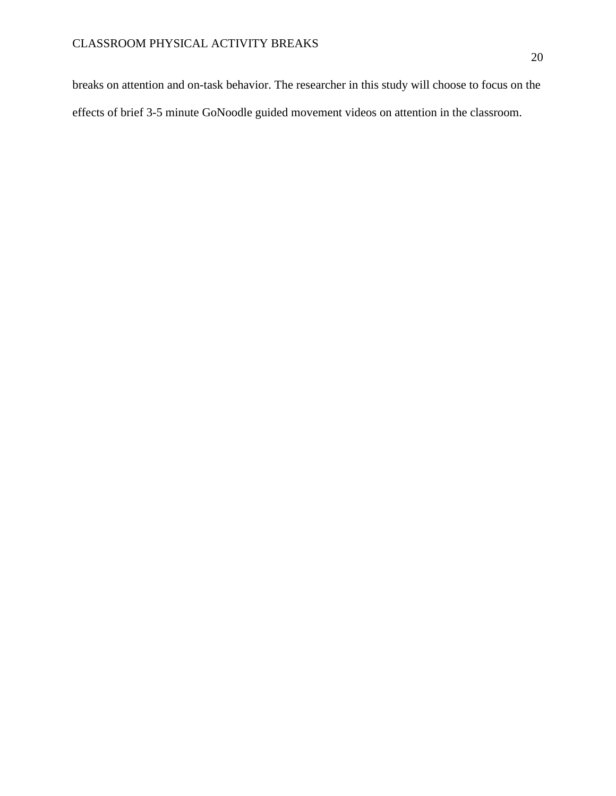breaks on attention and on-task behavior. The researcher in this study will choose to focus on the effects of brief 3-5 minute GoNoodle guided movement videos on attention in the classroom.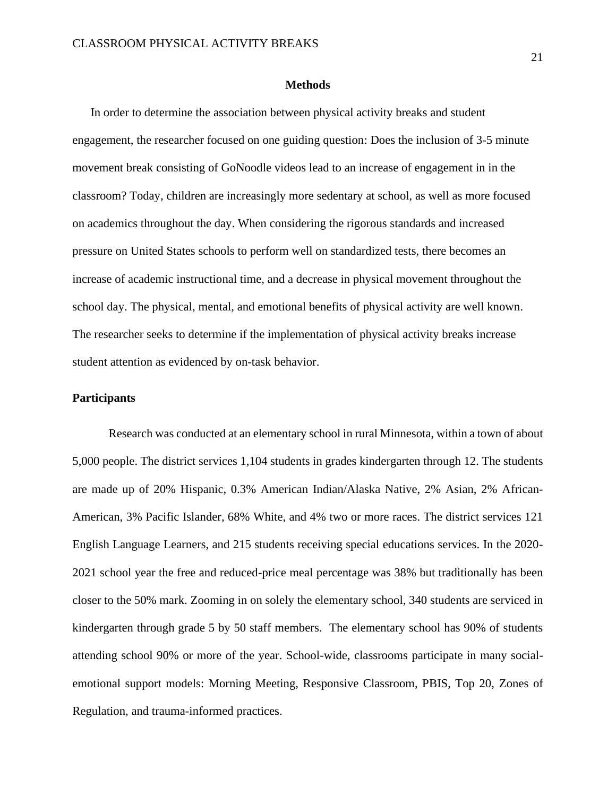#### **Methods**

<span id="page-21-0"></span>In order to determine the association between physical activity breaks and student engagement, the researcher focused on one guiding question: Does the inclusion of 3-5 minute movement break consisting of GoNoodle videos lead to an increase of engagement in in the classroom? Today, children are increasingly more sedentary at school, as well as more focused on academics throughout the day. When considering the rigorous standards and increased pressure on United States schools to perform well on standardized tests, there becomes an increase of academic instructional time, and a decrease in physical movement throughout the school day. The physical, mental, and emotional benefits of physical activity are well known. The researcher seeks to determine if the implementation of physical activity breaks increase student attention as evidenced by on-task behavior.

# **Participants**

Research was conducted at an elementary school in rural Minnesota, within a town of about 5,000 people. The district services 1,104 students in grades kindergarten through 12. The students are made up of 20% Hispanic, 0.3% American Indian/Alaska Native, 2% Asian, 2% African-American, 3% Pacific Islander, 68% White, and 4% two or more races. The district services 121 English Language Learners, and 215 students receiving special educations services. In the 2020- 2021 school year the free and reduced-price meal percentage was 38% but traditionally has been closer to the 50% mark. Zooming in on solely the elementary school, 340 students are serviced in kindergarten through grade 5 by 50 staff members. The elementary school has 90% of students attending school 90% or more of the year. School-wide, classrooms participate in many socialemotional support models: Morning Meeting, Responsive Classroom, PBIS, Top 20, Zones of Regulation, and trauma-informed practices.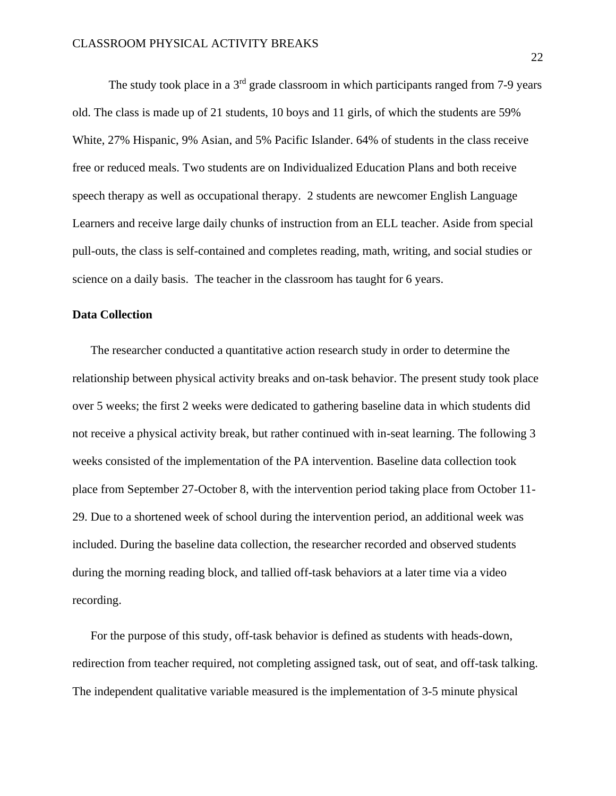The study took place in a  $3<sup>rd</sup>$  grade classroom in which participants ranged from 7-9 years old. The class is made up of 21 students, 10 boys and 11 girls, of which the students are 59% White, 27% Hispanic, 9% Asian, and 5% Pacific Islander. 64% of students in the class receive free or reduced meals. Two students are on Individualized Education Plans and both receive speech therapy as well as occupational therapy. 2 students are newcomer English Language Learners and receive large daily chunks of instruction from an ELL teacher. Aside from special pull-outs, the class is self-contained and completes reading, math, writing, and social studies or science on a daily basis. The teacher in the classroom has taught for 6 years.

# **Data Collection**

The researcher conducted a quantitative action research study in order to determine the relationship between physical activity breaks and on-task behavior. The present study took place over 5 weeks; the first 2 weeks were dedicated to gathering baseline data in which students did not receive a physical activity break, but rather continued with in-seat learning. The following 3 weeks consisted of the implementation of the PA intervention. Baseline data collection took place from September 27-October 8, with the intervention period taking place from October 11- 29. Due to a shortened week of school during the intervention period, an additional week was included. During the baseline data collection, the researcher recorded and observed students during the morning reading block, and tallied off-task behaviors at a later time via a video recording.

For the purpose of this study, off-task behavior is defined as students with heads-down, redirection from teacher required, not completing assigned task, out of seat, and off-task talking. The independent qualitative variable measured is the implementation of 3-5 minute physical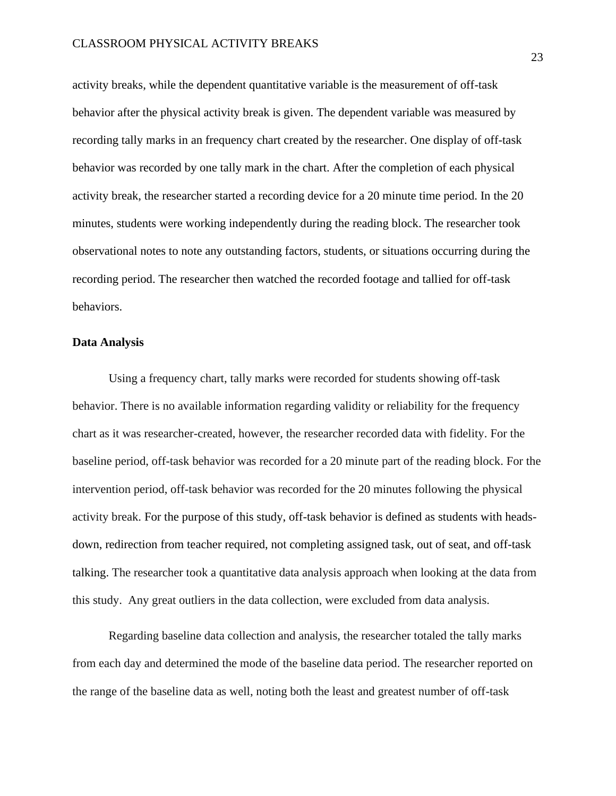activity breaks, while the dependent quantitative variable is the measurement of off-task behavior after the physical activity break is given. The dependent variable was measured by recording tally marks in an frequency chart created by the researcher. One display of off-task behavior was recorded by one tally mark in the chart. After the completion of each physical activity break, the researcher started a recording device for a 20 minute time period. In the 20 minutes, students were working independently during the reading block. The researcher took observational notes to note any outstanding factors, students, or situations occurring during the recording period. The researcher then watched the recorded footage and tallied for off-task behaviors.

#### **Data Analysis**

Using a frequency chart, tally marks were recorded for students showing off-task behavior. There is no available information regarding validity or reliability for the frequency chart as it was researcher-created, however, the researcher recorded data with fidelity. For the baseline period, off-task behavior was recorded for a 20 minute part of the reading block. For the intervention period, off-task behavior was recorded for the 20 minutes following the physical activity break. For the purpose of this study, off-task behavior is defined as students with headsdown, redirection from teacher required, not completing assigned task, out of seat, and off-task talking. The researcher took a quantitative data analysis approach when looking at the data from this study. Any great outliers in the data collection, were excluded from data analysis.

Regarding baseline data collection and analysis, the researcher totaled the tally marks from each day and determined the mode of the baseline data period. The researcher reported on the range of the baseline data as well, noting both the least and greatest number of off-task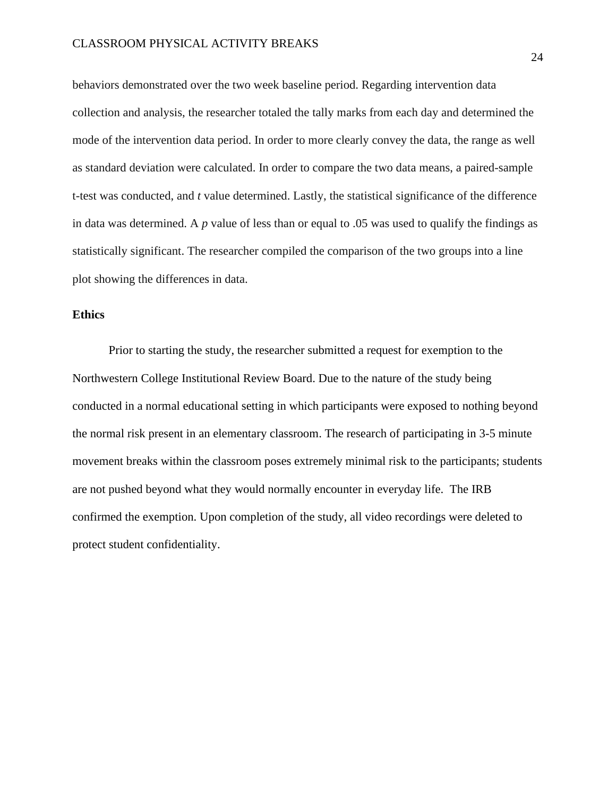behaviors demonstrated over the two week baseline period. Regarding intervention data collection and analysis, the researcher totaled the tally marks from each day and determined the mode of the intervention data period. In order to more clearly convey the data, the range as well as standard deviation were calculated. In order to compare the two data means, a paired-sample t-test was conducted, and *t* value determined. Lastly, the statistical significance of the difference in data was determined. A *p* value of less than or equal to .05 was used to qualify the findings as statistically significant. The researcher compiled the comparison of the two groups into a line plot showing the differences in data.

# **Ethics**

Prior to starting the study, the researcher submitted a request for exemption to the Northwestern College Institutional Review Board. Due to the nature of the study being conducted in a normal educational setting in which participants were exposed to nothing beyond the normal risk present in an elementary classroom. The research of participating in 3-5 minute movement breaks within the classroom poses extremely minimal risk to the participants; students are not pushed beyond what they would normally encounter in everyday life. The IRB confirmed the exemption. Upon completion of the study, all video recordings were deleted to protect student confidentiality.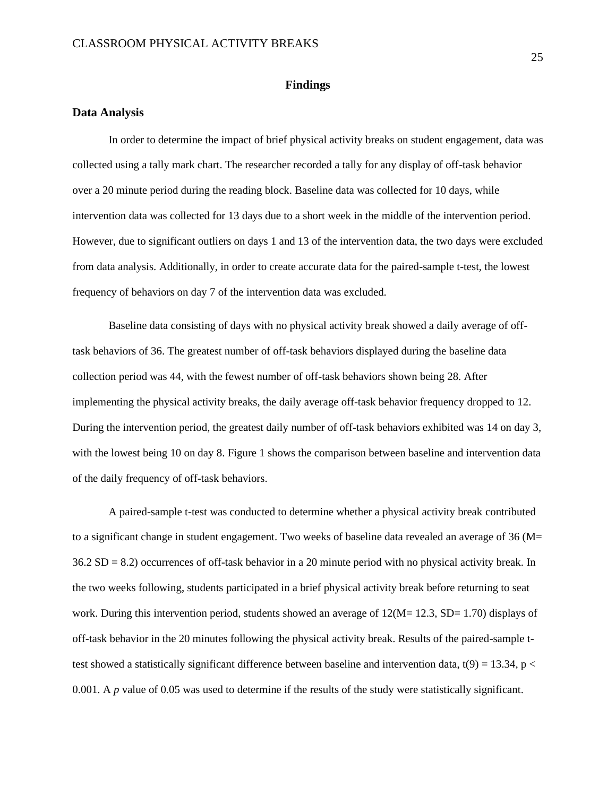## **Findings**

#### <span id="page-25-1"></span><span id="page-25-0"></span>**Data Analysis**

In order to determine the impact of brief physical activity breaks on student engagement, data was collected using a tally mark chart. The researcher recorded a tally for any display of off-task behavior over a 20 minute period during the reading block. Baseline data was collected for 10 days, while intervention data was collected for 13 days due to a short week in the middle of the intervention period. However, due to significant outliers on days 1 and 13 of the intervention data, the two days were excluded from data analysis. Additionally, in order to create accurate data for the paired-sample t-test, the lowest frequency of behaviors on day 7 of the intervention data was excluded.

Baseline data consisting of days with no physical activity break showed a daily average of offtask behaviors of 36. The greatest number of off-task behaviors displayed during the baseline data collection period was 44, with the fewest number of off-task behaviors shown being 28. After implementing the physical activity breaks, the daily average off-task behavior frequency dropped to 12. During the intervention period, the greatest daily number of off-task behaviors exhibited was 14 on day 3, with the lowest being 10 on day 8. Figure 1 shows the comparison between baseline and intervention data of the daily frequency of off-task behaviors.

A paired-sample t-test was conducted to determine whether a physical activity break contributed to a significant change in student engagement. Two weeks of baseline data revealed an average of 36 (M= 36.2 SD = 8.2) occurrences of off-task behavior in a 20 minute period with no physical activity break. In the two weeks following, students participated in a brief physical activity break before returning to seat work. During this intervention period, students showed an average of  $12(M= 12.3, SD= 1.70)$  displays of off-task behavior in the 20 minutes following the physical activity break. Results of the paired-sample ttest showed a statistically significant difference between baseline and intervention data,  $t(9) = 13.34$ , p < 0.001. A *p* value of 0.05 was used to determine if the results of the study were statistically significant.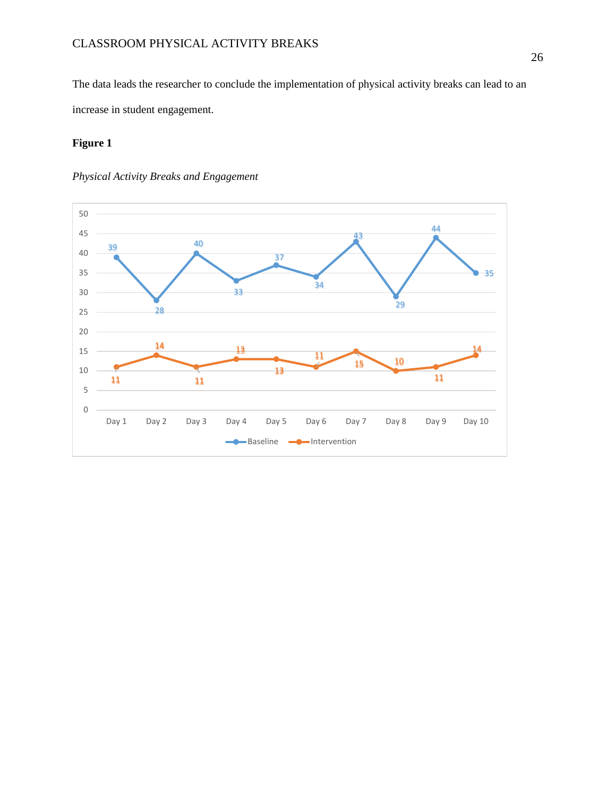The data leads the researcher to conclude the implementation of physical activity breaks can lead to an increase in student engagement.

# **Figure 1**



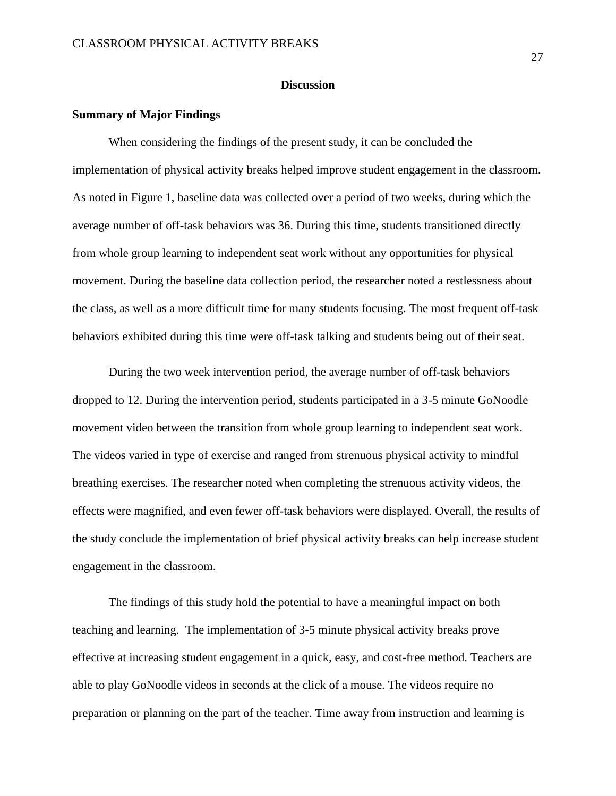#### **Discussion**

#### <span id="page-27-1"></span><span id="page-27-0"></span>**Summary of Major Findings**

When considering the findings of the present study, it can be concluded the implementation of physical activity breaks helped improve student engagement in the classroom. As noted in Figure 1, baseline data was collected over a period of two weeks, during which the average number of off-task behaviors was 36. During this time, students transitioned directly from whole group learning to independent seat work without any opportunities for physical movement. During the baseline data collection period, the researcher noted a restlessness about the class, as well as a more difficult time for many students focusing. The most frequent off-task behaviors exhibited during this time were off-task talking and students being out of their seat.

During the two week intervention period, the average number of off-task behaviors dropped to 12. During the intervention period, students participated in a 3-5 minute GoNoodle movement video between the transition from whole group learning to independent seat work. The videos varied in type of exercise and ranged from strenuous physical activity to mindful breathing exercises. The researcher noted when completing the strenuous activity videos, the effects were magnified, and even fewer off-task behaviors were displayed. Overall, the results of the study conclude the implementation of brief physical activity breaks can help increase student engagement in the classroom.

The findings of this study hold the potential to have a meaningful impact on both teaching and learning. The implementation of 3-5 minute physical activity breaks prove effective at increasing student engagement in a quick, easy, and cost-free method. Teachers are able to play GoNoodle videos in seconds at the click of a mouse. The videos require no preparation or planning on the part of the teacher. Time away from instruction and learning is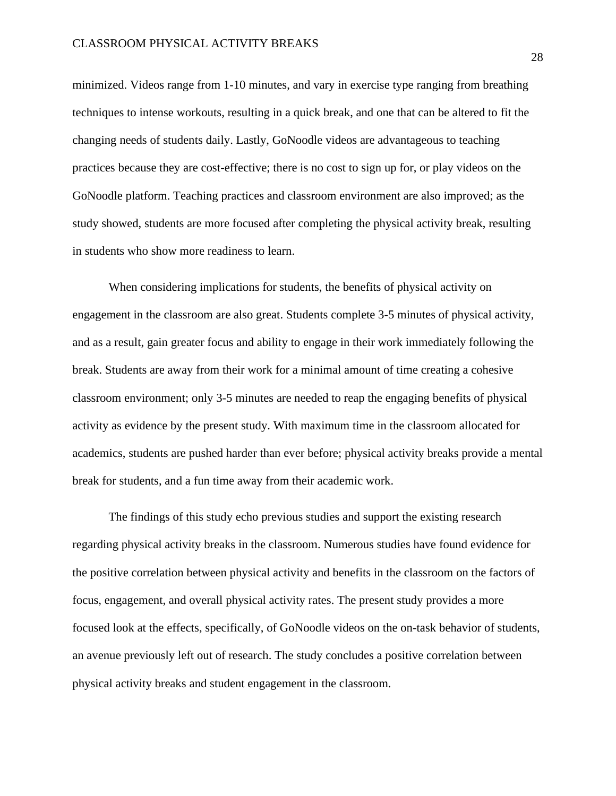minimized. Videos range from 1-10 minutes, and vary in exercise type ranging from breathing techniques to intense workouts, resulting in a quick break, and one that can be altered to fit the changing needs of students daily. Lastly, GoNoodle videos are advantageous to teaching practices because they are cost-effective; there is no cost to sign up for, or play videos on the GoNoodle platform. Teaching practices and classroom environment are also improved; as the study showed, students are more focused after completing the physical activity break, resulting in students who show more readiness to learn.

When considering implications for students, the benefits of physical activity on engagement in the classroom are also great. Students complete 3-5 minutes of physical activity, and as a result, gain greater focus and ability to engage in their work immediately following the break. Students are away from their work for a minimal amount of time creating a cohesive classroom environment; only 3-5 minutes are needed to reap the engaging benefits of physical activity as evidence by the present study. With maximum time in the classroom allocated for academics, students are pushed harder than ever before; physical activity breaks provide a mental break for students, and a fun time away from their academic work.

The findings of this study echo previous studies and support the existing research regarding physical activity breaks in the classroom. Numerous studies have found evidence for the positive correlation between physical activity and benefits in the classroom on the factors of focus, engagement, and overall physical activity rates. The present study provides a more focused look at the effects, specifically, of GoNoodle videos on the on-task behavior of students, an avenue previously left out of research. The study concludes a positive correlation between physical activity breaks and student engagement in the classroom.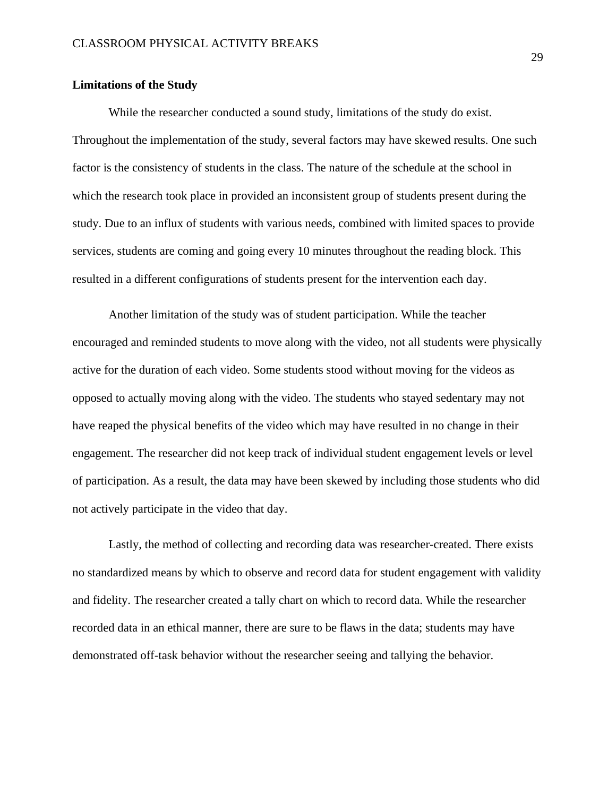## <span id="page-29-0"></span>**Limitations of the Study**

While the researcher conducted a sound study, limitations of the study do exist. Throughout the implementation of the study, several factors may have skewed results. One such factor is the consistency of students in the class. The nature of the schedule at the school in which the research took place in provided an inconsistent group of students present during the study. Due to an influx of students with various needs, combined with limited spaces to provide services, students are coming and going every 10 minutes throughout the reading block. This resulted in a different configurations of students present for the intervention each day.

Another limitation of the study was of student participation. While the teacher encouraged and reminded students to move along with the video, not all students were physically active for the duration of each video. Some students stood without moving for the videos as opposed to actually moving along with the video. The students who stayed sedentary may not have reaped the physical benefits of the video which may have resulted in no change in their engagement. The researcher did not keep track of individual student engagement levels or level of participation. As a result, the data may have been skewed by including those students who did not actively participate in the video that day.

Lastly, the method of collecting and recording data was researcher-created. There exists no standardized means by which to observe and record data for student engagement with validity and fidelity. The researcher created a tally chart on which to record data. While the researcher recorded data in an ethical manner, there are sure to be flaws in the data; students may have demonstrated off-task behavior without the researcher seeing and tallying the behavior.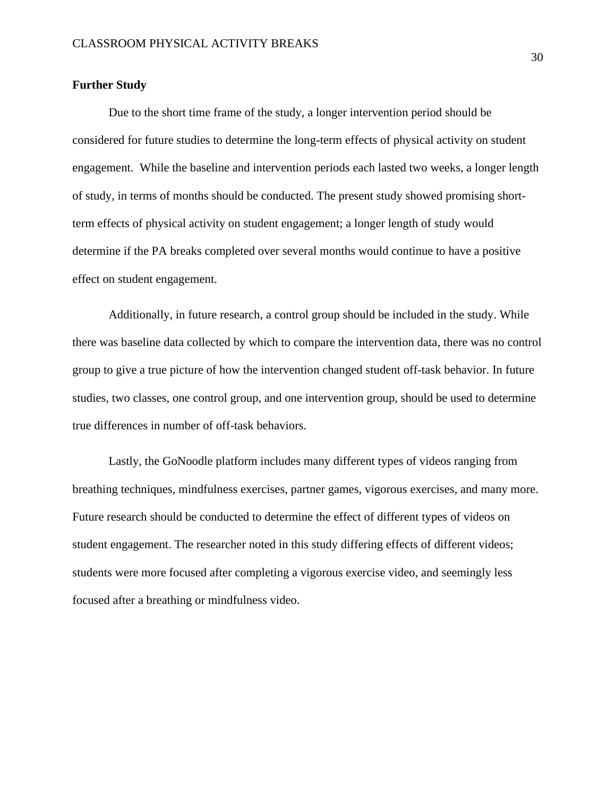## <span id="page-30-0"></span>**Further Study**

Due to the short time frame of the study, a longer intervention period should be considered for future studies to determine the long-term effects of physical activity on student engagement. While the baseline and intervention periods each lasted two weeks, a longer length of study, in terms of months should be conducted. The present study showed promising shortterm effects of physical activity on student engagement; a longer length of study would determine if the PA breaks completed over several months would continue to have a positive effect on student engagement.

Additionally, in future research, a control group should be included in the study. While there was baseline data collected by which to compare the intervention data, there was no control group to give a true picture of how the intervention changed student off-task behavior. In future studies, two classes, one control group, and one intervention group, should be used to determine true differences in number of off-task behaviors.

Lastly, the GoNoodle platform includes many different types of videos ranging from breathing techniques, mindfulness exercises, partner games, vigorous exercises, and many more. Future research should be conducted to determine the effect of different types of videos on student engagement. The researcher noted in this study differing effects of different videos; students were more focused after completing a vigorous exercise video, and seemingly less focused after a breathing or mindfulness video.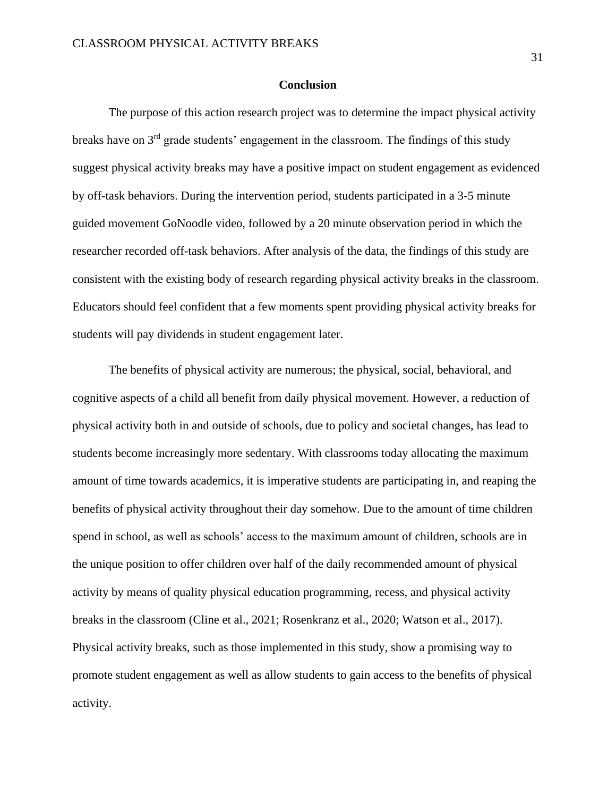#### **Conclusion**

<span id="page-31-0"></span>The purpose of this action research project was to determine the impact physical activity breaks have on 3rd grade students' engagement in the classroom. The findings of this study suggest physical activity breaks may have a positive impact on student engagement as evidenced by off-task behaviors. During the intervention period, students participated in a 3-5 minute guided movement GoNoodle video, followed by a 20 minute observation period in which the researcher recorded off-task behaviors. After analysis of the data, the findings of this study are consistent with the existing body of research regarding physical activity breaks in the classroom. Educators should feel confident that a few moments spent providing physical activity breaks for students will pay dividends in student engagement later.

The benefits of physical activity are numerous; the physical, social, behavioral, and cognitive aspects of a child all benefit from daily physical movement. However, a reduction of physical activity both in and outside of schools, due to policy and societal changes, has lead to students become increasingly more sedentary. With classrooms today allocating the maximum amount of time towards academics, it is imperative students are participating in, and reaping the benefits of physical activity throughout their day somehow. Due to the amount of time children spend in school, as well as schools' access to the maximum amount of children, schools are in the unique position to offer children over half of the daily recommended amount of physical activity by means of quality physical education programming, recess, and physical activity breaks in the classroom (Cline et al., 2021; Rosenkranz et al., 2020; Watson et al., 2017). Physical activity breaks, such as those implemented in this study, show a promising way to promote student engagement as well as allow students to gain access to the benefits of physical activity.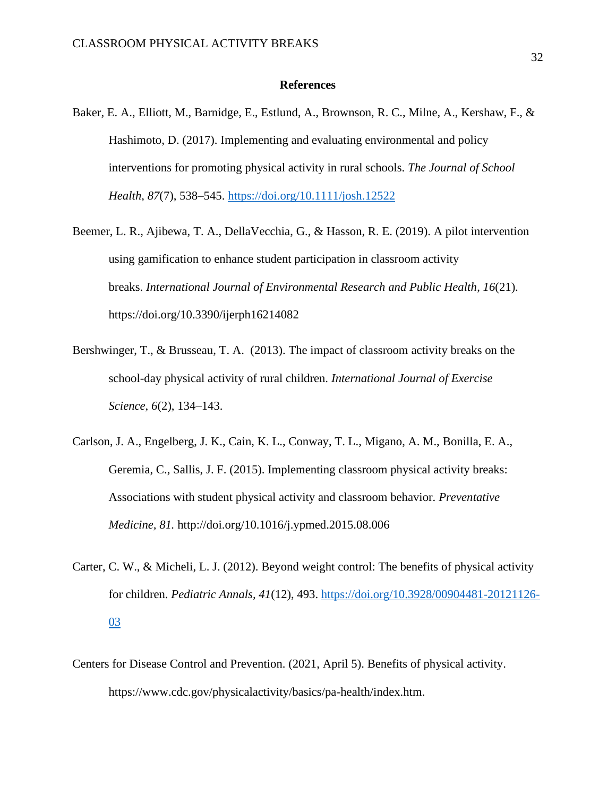#### **References**

- <span id="page-32-0"></span>Baker, E. A., Elliott, M., Barnidge, E., Estlund, A., Brownson, R. C., Milne, A., Kershaw, F., & Hashimoto, D. (2017). Implementing and evaluating environmental and policy interventions for promoting physical activity in rural schools. *The Journal of School Health*, *87*(7), 538–545.<https://doi.org/10.1111/josh.12522>
- Beemer, L. R., Ajibewa, T. A., DellaVecchia, G., & Hasson, R. E. (2019). A pilot intervention using gamification to enhance student participation in classroom activity breaks. *International Journal of Environmental Research and Public Health*, *16*(21). https://doi.org/10.3390/ijerph16214082
- Bershwinger, T., & Brusseau, T. A. (2013). The impact of classroom activity breaks on the school-day physical activity of rural children. *International Journal of Exercise Science*, *6*(2), 134–143.
- Carlson, J. A., Engelberg, J. K., Cain, K. L., Conway, T. L., Migano, A. M., Bonilla, E. A., Geremia, C., Sallis, J. F. (2015). Implementing classroom physical activity breaks: Associations with student physical activity and classroom behavior. *Preventative Medicine, 81.* http://doi.org/10.1016/j.ypmed.2015.08.006
- Carter, C. W., & Micheli, L. J. (2012). Beyond weight control: The benefits of physical activity for children. *Pediatric Annals, 41*(12), 493. [https://doi.org/10.3928/00904481-20121126-](https://doi.org/10.3928/00904481-20121126-03) [03](https://doi.org/10.3928/00904481-20121126-03)
- Centers for Disease Control and Prevention. (2021, April 5). Benefits of physical activity. https://www.cdc.gov/physicalactivity/basics/pa-health/index.htm.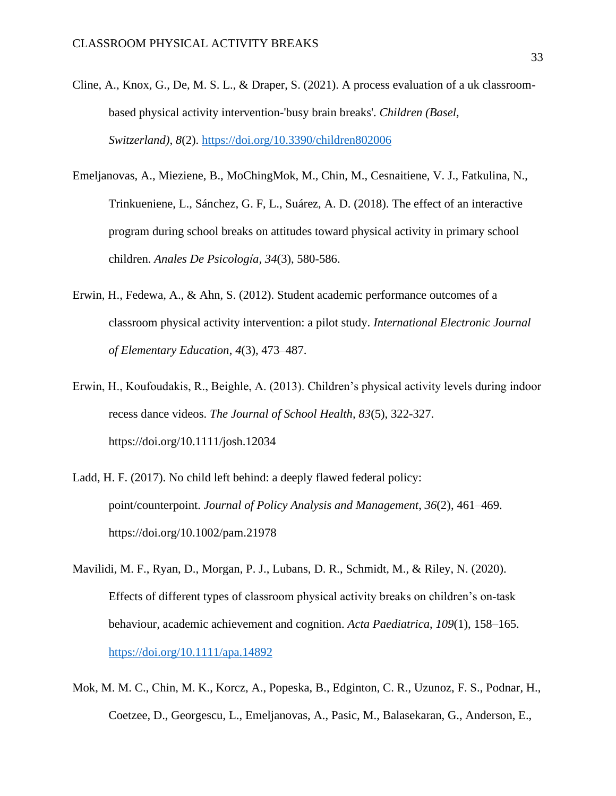- Cline, A., Knox, G., De, M. S. L., & Draper, S. (2021). A process evaluation of a uk classroombased physical activity intervention-'busy brain breaks'. *Children (Basel, Switzerland)*, *8*(2).<https://doi.org/10.3390/children802006>
- Emeljanovas, A., Mieziene, B., MoChingMok, M., Chin, M., Cesnaitiene, V. J., Fatkulina, N., Trinkueniene, L., Sánchez, G. F, L., Suárez, A. D. (2018). The effect of an interactive program during school breaks on attitudes toward physical activity in primary school children. *Anales De Psicología, 34*(3), 580-586.
- Erwin, H., Fedewa, A., & Ahn, S. (2012). Student academic performance outcomes of a classroom physical activity intervention: a pilot study. *International Electronic Journal of Elementary Education*, *4*(3), 473–487.
- Erwin, H., Koufoudakis, R., Beighle, A. (2013). Children's physical activity levels during indoor recess dance videos. *The Journal of School Health, 83*(5), 322-327. https://doi.org/10.1111/josh.12034
- Ladd, H. F. (2017). No child left behind: a deeply flawed federal policy: point/counterpoint. *Journal of Policy Analysis and Management*, *36*(2), 461–469. https://doi.org/10.1002/pam.21978
- Mavilidi, M. F., Ryan, D., Morgan, P. J., Lubans, D. R., Schmidt, M., & Riley, N. (2020). Effects of different types of classroom physical activity breaks on children's on‐task behaviour, academic achievement and cognition. *Acta Paediatrica*, *109*(1), 158–165. <https://doi.org/10.1111/apa.14892>
- Mok, M. M. C., Chin, M. K., Korcz, A., Popeska, B., Edginton, C. R., Uzunoz, F. S., Podnar, H., Coetzee, D., Georgescu, L., Emeljanovas, A., Pasic, M., Balasekaran, G., Anderson, E.,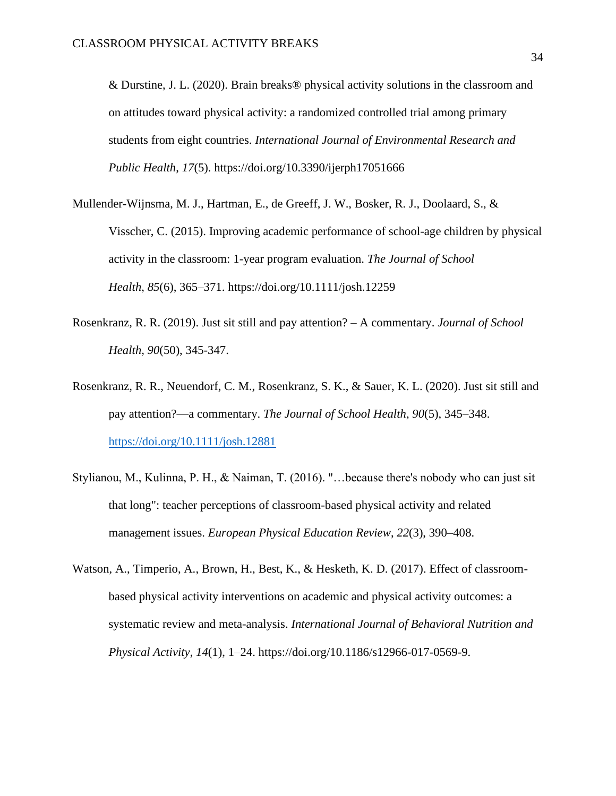& Durstine, J. L. (2020). Brain breaks® physical activity solutions in the classroom and on attitudes toward physical activity: a randomized controlled trial among primary students from eight countries. *International Journal of Environmental Research and Public Health*, *17*(5). https://doi.org/10.3390/ijerph17051666

- Mullender-Wijnsma, M. J., Hartman, E., de Greeff, J. W., Bosker, R. J., Doolaard, S., & Visscher, C. (2015). Improving academic performance of school-age children by physical activity in the classroom: 1-year program evaluation. *The Journal of School Health*, *85*(6), 365–371. https://doi.org/10.1111/josh.12259
- Rosenkranz, R. R. (2019). Just sit still and pay attention? A commentary. *Journal of School Health, 90*(50), 345-347.
- Rosenkranz, R. R., Neuendorf, C. M., Rosenkranz, S. K., & Sauer, K. L. (2020). Just sit still and pay attention?—a commentary. *The Journal of School Health*, *90*(5), 345–348. <https://doi.org/10.1111/josh.12881>
- Stylianou, M., Kulinna, P. H., & Naiman, T. (2016). "…because there's nobody who can just sit that long": teacher perceptions of classroom-based physical activity and related management issues. *European Physical Education Review*, *22*(3), 390–408.
- Watson, A., Timperio, A., Brown, H., Best, K., & Hesketh, K. D. (2017). Effect of classroombased physical activity interventions on academic and physical activity outcomes: a systematic review and meta-analysis. *International Journal of Behavioral Nutrition and Physical Activity*, *14*(1), 1–24. https://doi.org/10.1186/s12966-017-0569-9.